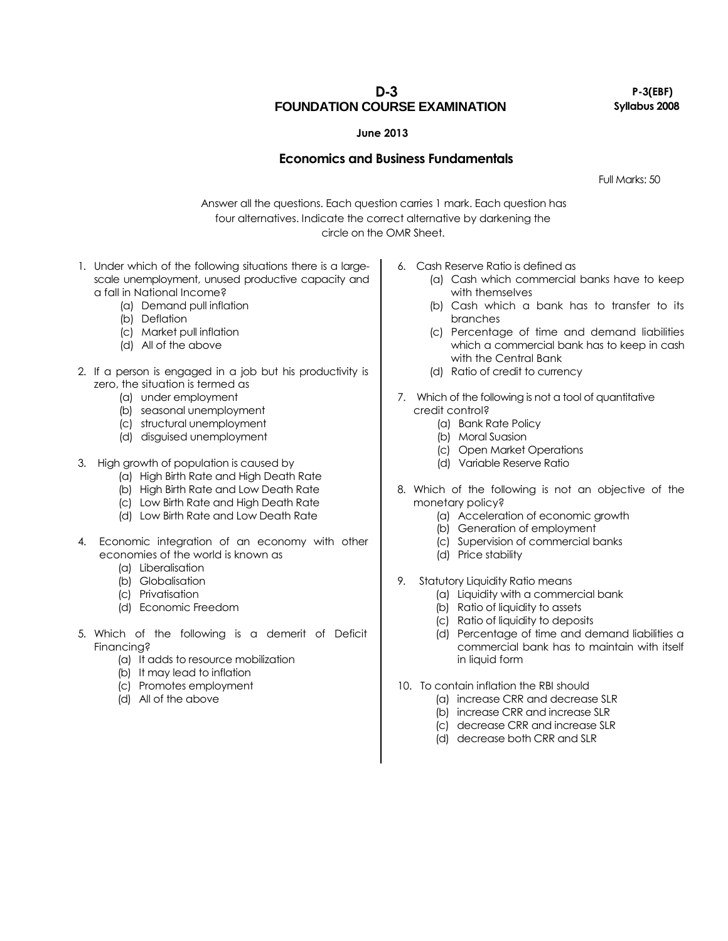**D-3**

**FOUNDATION COURSE EXAMINATION**

**P-3(EBF) Syllabus 2008**

## **June 2013**

## **Economics and Business Fundamentals**

Full Marks: 50

Answer all the questions. Each question carries 1 mark. Each question has four alternatives. Indicate the correct alternative by darkening the circle on the OMR Sheet.

- 1. Under which of the following situations there is a largescale unemployment, unused productive capacity and a fall in National Income?
	- (a) Demand pull inflation
	- (b) Deflation
	- (c) Market pull inflation
	- (d) All of the above
- 2. If a person is engaged in a job but his productivity is zero, the situation is termed as
	- (a) under employment
	- (b) seasonal unemployment
	- (c) structural unemployment
	- (d) disguised unemployment

## 3. High growth of population is caused by

- (a) High Birth Rate and High Death Rate
- (b) High Birth Rate and Low Death Rate
- (c) Low Birth Rate and High Death Rate
- (d) Low Birth Rate and Low Death Rate
- 4. Economic integration of an economy with other economies of the world is known as
	- (a) Liberalisation
	- (b) Globalisation
	- (c) Privatisation
	- (d) Economic Freedom
- 5. Which of the following is a demerit of Deficit Financing?
	- (a) It adds to resource mobilization
	- (b) It may lead to inflation
	- (c) Promotes employment
	- (d) All of the above
- 6. Cash Reserve Ratio is defined as
	- (a) Cash which commercial banks have to keep with themselves
	- (b) Cash which a bank has to transfer to its branches
	- (c) Percentage of time and demand liabilities which a commercial bank has to keep in cash with the Central Bank
	- (d) Ratio of credit to currency
- 7. Which of the following is not a tool of quantitative credit control?
	- (a) Bank Rate Policy
	- (b) Moral Suasion
	- (c) Open Market Operations
	- (d) Variable Reserve Ratio
- 8. Which of the following is not an objective of the monetary policy?
	- (a) Acceleration of economic growth
	- (b) Generation of employment
	- (c) Supervision of commercial banks
	- (d) Price stability
- 9. Statutory Liquidity Ratio means
	- (a) Liquidity with a commercial bank
	- (b) Ratio of liquidity to assets
	- (c) Ratio of liquidity to deposits
	- (d) Percentage of time and demand liabilities a commercial bank has to maintain with itself in liquid form
- 10. To contain inflation the RBI should
	- (a) increase CRR and decrease SLR
	- (b) increase CRR and increase SLR
	- (c) decrease CRR and increase SLR
	- (d) decrease both CRR and SLR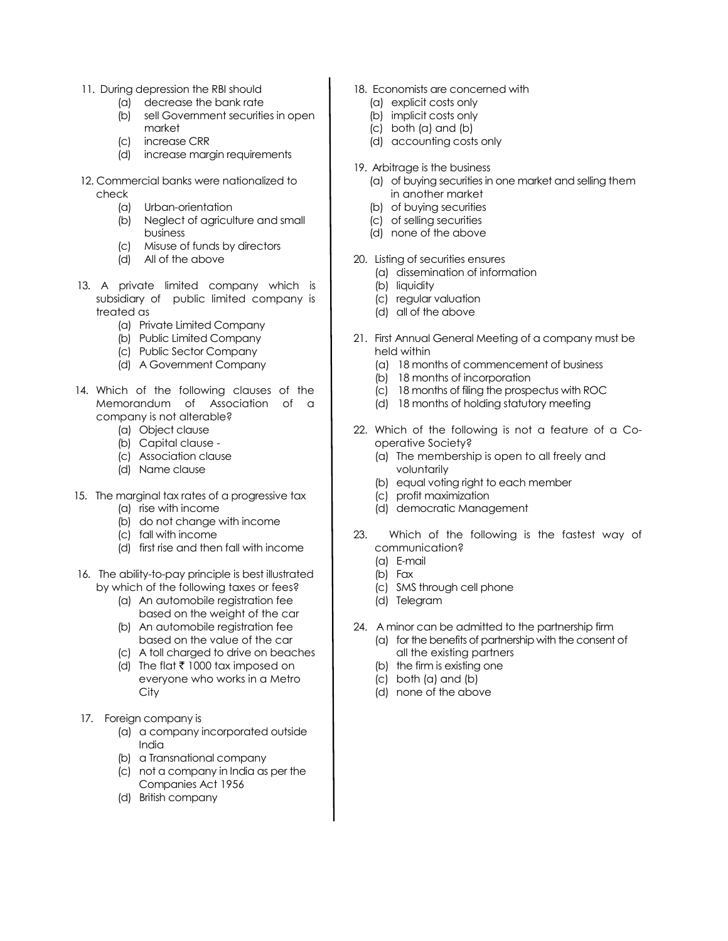- 11. During depression the RBI should
	- (a) decrease the bank rate
	- (b) sell Government securities in open market
	- (c) increase CRR
	- (d) increase margin requirements
- 12. Commercial banks were nationalized to check
	- (a) Urban-orientation
	- (b) Neglect of agriculture and small business
	- (c) Misuse of funds by directors
	- (d) All of the above
- 13. A private limited company which is subsidiary of public limited company is treated as
	- (a) Private Limited Company
	- (b) Public Limited Company
	- (c) Public Sector Company
	- (d) A Government Company
- 14. Which of the following clauses of the Memorandum of Association of a company is not alterable?
	- (a) Object clause
	- (b) Capital clause -
	- (c) Association clause
	- (d) Name clause
- 15. The marginal tax rates of a progressive tax
	- (a) rise with income
	- (b) do not change with income
	- (c) fall with income
	- (d) first rise and then fall with income
- 16. The ability-to-pay principle is best illustrated by which of the following taxes or fees?
	- (a) An automobile registration fee based on the weight of the car
	- (b) An automobile registration fee based on the value of the car
	- (c) A toll charged to drive on beaches
	- (d) The flat  $\bar{\tau}$  1000 tax imposed on everyone who works in a Metro **City**
- 17. Foreign company is
	- (a) a company incorporated outside India
	- (b) a Transnational company
	- (c) not a company in India as per the Companies Act 1956
	- (d) British company
- 18. Economists are concerned with
	- (a) explicit costs only
	- (b) implicit costs only
	- (c) both (a) and (b)
	- (d) accounting costs only
- 19. Arbitrage is the business
	- (a) of buying securities in one market and selling them in another market
	- (b) of buying securities
	- (c) of selling securities
	- (d) none of the above
- 20. Listing of securities ensures
	- (a) dissemination of information
	- (b) liquidity
	- (c) regular valuation
	- (d) all of the above
- 21. First Annual General Meeting of a company must be held within
	- (a) 18 months of commencement of business
	- (b) 18 months of incorporation
	- (c) 18 months of filing the prospectus with ROC
	- (d) 18 months of holding statutory meeting
- 22. Which of the following is not a feature of a Cooperative Society?
	- (a) The membership is open to all freely and voluntarily
	- (b) equal voting right to each member
	- (c) profit maximization
	- (d) democratic Management
- 23. Which of the following is the fastest way of communication?
	- (a) E-mail
	- (b) Fax
	- (c) SMS through cell phone
	- (d) Telegram
- 24. A minor can be admitted to the partnership firm (a) for the benefits of partnership with the consent of all the existing partners
	- (b) the firm is existing one
	- (c) both (a) and (b)
	- (d) none of the above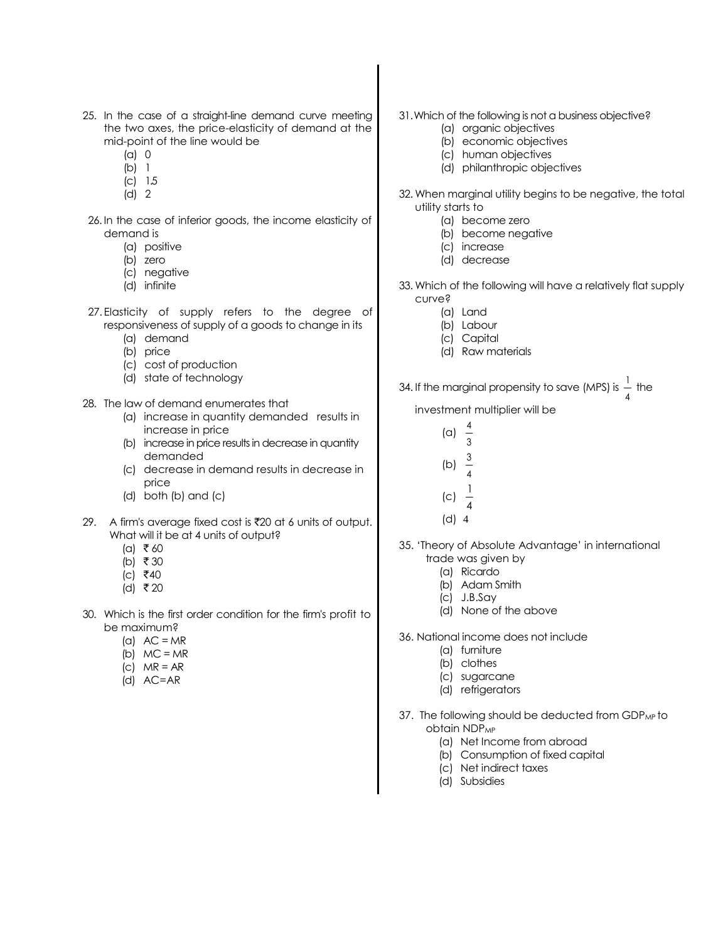- 25. In the case of a straight-line demand curve meeting the two axes, the price-elasticity of demand at the mid-point of the line would be
	- (a) 0
	- (b) 1
	- (c) 1.5
	- (d) 2
- 26. In the case of inferior goods, the income elasticity of demand is
	- (a) positive
	- (b) zero
	- (c) negative
	- (d) infinite
- 27. Elasticity of supply refers to the degree of responsiveness of supply of a goods to change in its
	- (a) demand
	- (b) price
	- (c) cost of production
	- (d) state of technology
- 28. The law of demand enumerates that
	- (a) increase in quantity demanded results in increase in price
	- (b) increase in price results in decrease in quantity demanded
	- (c) decrease in demand results in decrease in price
	- (d) both (b) and (c)
- 29. A firm's average fixed cost is  $\overline{z}$ 20 at 6 units of output. What will it be at 4 units of output?
	- $(a)$  ₹60
	- (b) ₹ 30
	- $|c|$   $\bar{z}$ 40
	- (d) ₹ 20
- 30. Which is the first order condition for the firm's profit to be maximum?
	- (a)  $AC = MR$
	- (b)  $MC = MR$
	- (c)  $MR = AR$
	- (d) AC=AR
- 31.Which of the following is not a business objective?
	- (a) organic objectives
	- (b) economic objectives
	- (c) human objectives
	- (d) philanthropic objectives
- 32. When marginal utility begins to be negative, the total utility starts to
	- (a) become zero
	- (b) become negative
	- (c) increase
	- (d) decrease
- 33. Which of the following will have a relatively flat supply curve?
	- (a) Land
	- (b) Labour
	- (c) Capital
	- (d) Raw materials

34. If the marginal propensity to save (MPS) is  $\frac{1}{4}$ <sup>1</sup> the

investment multiplier will be

- (a) 4
- 3 3
- (b) 4
- 1
- (c) 4
- (d) 4
- 35. 'Theory of Absolute Advantage' in international trade was given by
	- (a) Ricardo
	- (b) Adam Smith
	- (c) J.B.Say
	- (d) None of the above
- 36. National income does not include
	- (a) furniture
	- (b) clothes
	- (c) sugarcane
	- (d) refrigerators
- 37. The following should be deducted from GDP<sub>MP</sub> to obtain NDP<sub>MP</sub>
	- (a) Net Income from abroad
	- (b) Consumption of fixed capital
	- (c) Net indirect taxes
	- (d) Subsidies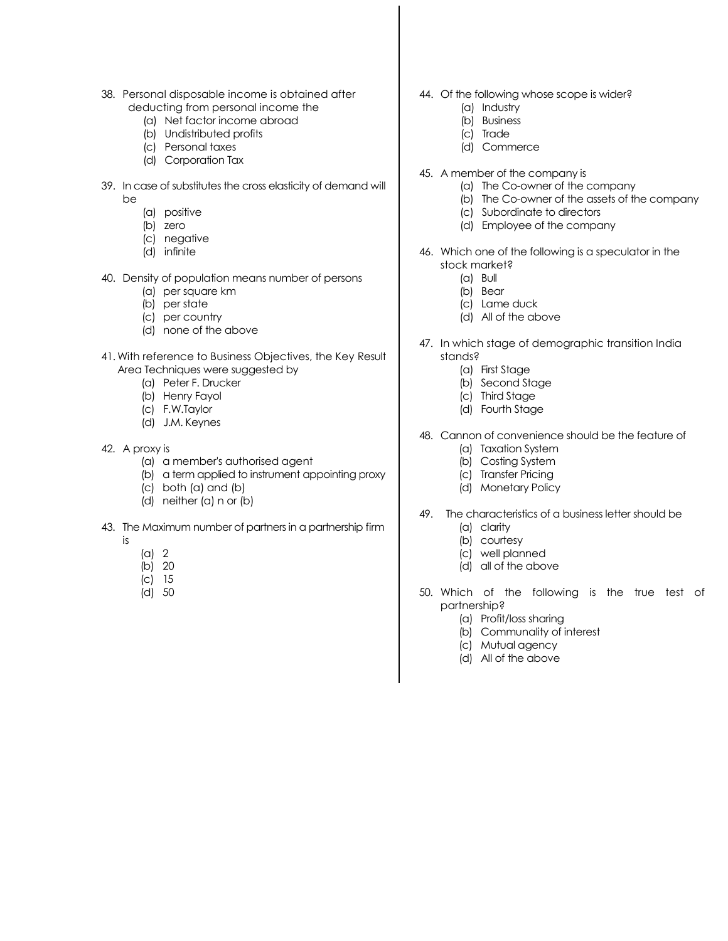- 38. Personal disposable income is obtained after deducting from personal income the
	- (a) Net factor income abroad
	- (b) Undistributed profits
	- (c) Personal taxes
	- (d) Corporation Tax
- 39. In case of substitutes the cross elasticity of demand will be
	- (a) positive
	- (b) zero
	- (c) negative
	- (d) infinite
- 40. Density of population means number of persons
	- (a) per square km
	- (b) per state
	- (c) per country
	- (d) none of the above
- 41. With reference to Business Objectives, the Key Result Area Techniques were suggested by
	- (a) Peter F. Drucker
	- (b) Henry Fayol
	- (c) F.W.Taylor
	- (d) J.M. Keynes
- 42. A proxy is
	- (a) a member's authorised agent
	- (b) a term applied to instrument appointing proxy
	- (c) both (a) and (b)
	- (d) neither (a) n or (b)
- 43. The Maximum number of partners in a partnership firm
	- is
- (a) 2
- (b) 20
- (c) 15
- (d) 50
- 44. Of the following whose scope is wider?
	- (a) Industry
	- (b) Business
	- (c) Trade
	- (d) Commerce
- 45. A member of the company is
	- (a) The Co-owner of the company
	- (b) The Co-owner of the assets of the company
	- (c) Subordinate to directors
	- (d) Employee of the company
- 46. Which one of the following is a speculator in the stock market?
	- (a) Bull
	- (b) Bear
	- (c) Lame duck
	- (d) All of the above
- 47. In which stage of demographic transition India stands?
	- (a) First Stage
	- (b) Second Stage
	- (c) Third Stage
	- (d) Fourth Stage
- 48. Cannon of convenience should be the feature of
	- (a) Taxation System
	- (b) Costing System
	- (c) Transfer Pricing
	- (d) Monetary Policy
- 49. The characteristics of a business letter should be
	- (a) clarity
	- (b) courtesy
	- (c) well planned
	- (d) all of the above
- 50. Which of the following is the true test of partnership?
	- (a) Profit/loss sharing
	- (b) Communality of interest
	- (c) Mutual agency
	- (d) All of the above